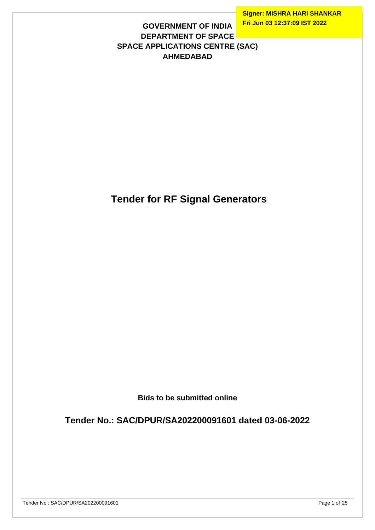## **GOVERNMENT OF INDIA DEPARTMENT OF SPACE SPACE APPLICATIONS CENTRE (SAC) AHMEDABAD**

 **Tender for RF Signal Generators**

**Bids to be submitted online**

**Tender No.: SAC/DPUR/SA202200091601 dated 03-06-2022**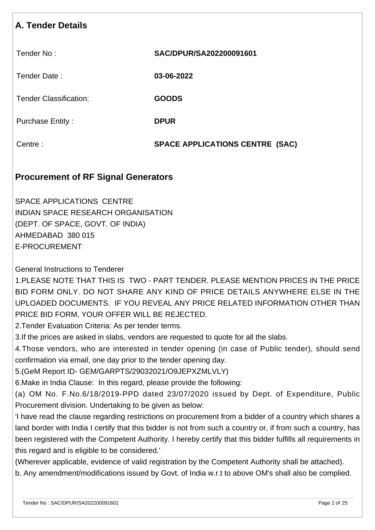# **A. Tender Details**

Tender No : **SAC/DPUR/SA202200091601**

Tender Date : **03-06-2022**

Tender Classification: **GOODS**

Purchase Entity : **DPUR** 

Centre : **SPACE APPLICATIONS CENTRE (SAC)**

## **Procurement of RF Signal Generators**

SPACE APPLICATIONS CENTRE INDIAN SPACE RESEARCH ORGANISATION (DEPT. OF SPACE, GOVT. OF INDIA) AHMEDABAD 380 015 E-PROCUREMENT

General Instructions to Tenderer

1.PLEASE NOTE THAT THIS IS TWO - PART TENDER. PLEASE MENTION PRICES IN THE PRICE BID FORM ONLY. DO NOT SHARE ANY KIND OF PRICE DETAILS ANYWHERE ELSE IN THE UPLOADED DOCUMENTS. IF YOU REVEAL ANY PRICE RELATED INFORMATION OTHER THAN PRICE BID FORM, YOUR OFFER WILL BE REJECTED.

2.Tender Evaluation Criteria: As per tender terms.

3.If the prices are asked in slabs, vendors are requested to quote for all the slabs.

4.Those vendors, who are interested in tender opening (in case of Public tender), should send confirmation via email, one day prior to the tender opening day.

5.(GeM Report ID- GEM/GARPTS/29032021/O9JEPXZMLVLY)

6.Make in India Clause: In this regard, please provide the following:

(a) OM No. F.No.6/18/2019-PPD dated 23/07/2020 issued by Dept. of Expenditure, Public Procurement division. Undertaking to be given as below:

'I have read the clause regarding restrictions on procurement from a bidder of a country which shares a land border with India I certify that this bidder is not from such a country or, if from such a country, has been registered with the Competent Authority. I hereby certify that this bidder fulfills all requirements in this regard and is eligible to be considered.'

(Wherever applicable, evidence of valid registration by the Competent Authority shall be attached).

b. Any amendment/modifications issued by Govt. of India w.r.t to above OM's shall also be complied.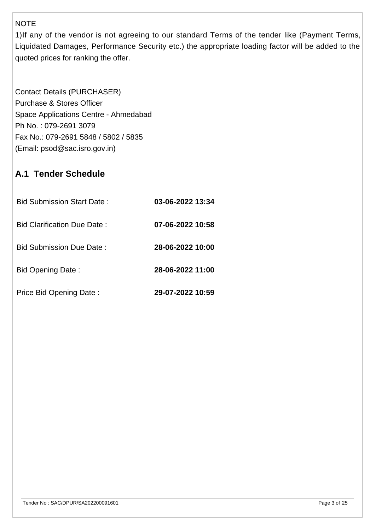#### NOTE

1)If any of the vendor is not agreeing to our standard Terms of the tender like (Payment Terms, Liquidated Damages, Performance Security etc.) the appropriate loading factor will be added to the quoted prices for ranking the offer.

Contact Details (PURCHASER) Purchase & Stores Officer Space Applications Centre - Ahmedabad Ph No. : 079-2691 3079 Fax No.: 079-2691 5848 / 5802 / 5835 (Email: psod@sac.isro.gov.in)

# **A.1 Tender Schedule**

| Bid Submission Start Date:         | 03-06-2022 13:34 |
|------------------------------------|------------------|
| <b>Bid Clarification Due Date:</b> | 07-06-2022 10:58 |
| <b>Bid Submission Due Date:</b>    | 28-06-2022 10:00 |
| Bid Opening Date:                  | 28-06-2022 11:00 |
| Price Bid Opening Date:            | 29-07-2022 10:59 |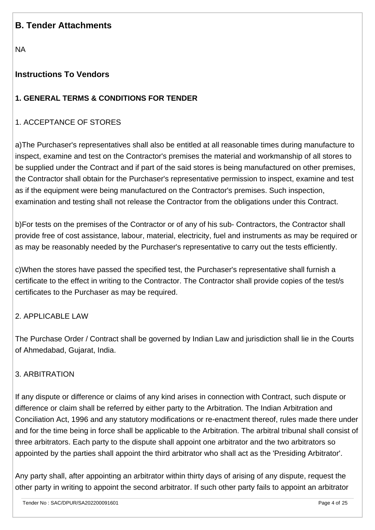## **B. Tender Attachments**

NA

## **Instructions To Vendors**

## **1. GENERAL TERMS & CONDITIONS FOR TENDER**

## 1. ACCEPTANCE OF STORES

a)The Purchaser's representatives shall also be entitled at all reasonable times during manufacture to inspect, examine and test on the Contractor's premises the material and workmanship of all stores to be supplied under the Contract and if part of the said stores is being manufactured on other premises, the Contractor shall obtain for the Purchaser's representative permission to inspect, examine and test as if the equipment were being manufactured on the Contractor's premises. Such inspection, examination and testing shall not release the Contractor from the obligations under this Contract.

b)For tests on the premises of the Contractor or of any of his sub- Contractors, the Contractor shall provide free of cost assistance, labour, material, electricity, fuel and instruments as may be required or as may be reasonably needed by the Purchaser's representative to carry out the tests efficiently.

c)When the stores have passed the specified test, the Purchaser's representative shall furnish a certificate to the effect in writing to the Contractor. The Contractor shall provide copies of the test/s certificates to the Purchaser as may be required.

#### 2. APPLICABLE LAW

The Purchase Order / Contract shall be governed by Indian Law and jurisdiction shall lie in the Courts of Ahmedabad, Gujarat, India.

#### 3. ARBITRATION

If any dispute or difference or claims of any kind arises in connection with Contract, such dispute or difference or claim shall be referred by either party to the Arbitration. The Indian Arbitration and Conciliation Act, 1996 and any statutory modifications or re-enactment thereof, rules made there under and for the time being in force shall be applicable to the Arbitration. The arbitral tribunal shall consist of three arbitrators. Each party to the dispute shall appoint one arbitrator and the two arbitrators so appointed by the parties shall appoint the third arbitrator who shall act as the 'Presiding Arbitrator'.

Any party shall, after appointing an arbitrator within thirty days of arising of any dispute, request the other party in writing to appoint the second arbitrator. If such other party fails to appoint an arbitrator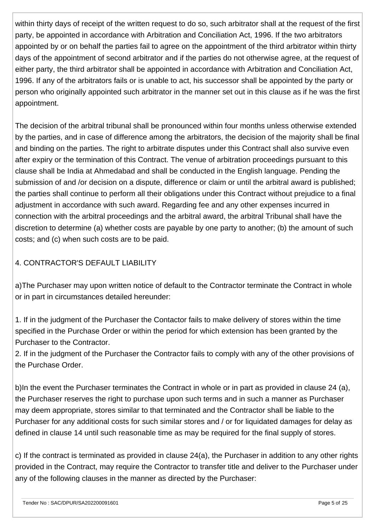within thirty days of receipt of the written request to do so, such arbitrator shall at the request of the first party, be appointed in accordance with Arbitration and Conciliation Act, 1996. If the two arbitrators appointed by or on behalf the parties fail to agree on the appointment of the third arbitrator within thirty days of the appointment of second arbitrator and if the parties do not otherwise agree, at the request of either party, the third arbitrator shall be appointed in accordance with Arbitration and Conciliation Act, 1996. If any of the arbitrators fails or is unable to act, his successor shall be appointed by the party or person who originally appointed such arbitrator in the manner set out in this clause as if he was the first appointment.

The decision of the arbitral tribunal shall be pronounced within four months unless otherwise extended by the parties, and in case of difference among the arbitrators, the decision of the majority shall be final and binding on the parties. The right to arbitrate disputes under this Contract shall also survive even after expiry or the termination of this Contract. The venue of arbitration proceedings pursuant to this clause shall be India at Ahmedabad and shall be conducted in the English language. Pending the submission of and /or decision on a dispute, difference or claim or until the arbitral award is published; the parties shall continue to perform all their obligations under this Contract without prejudice to a final adjustment in accordance with such award. Regarding fee and any other expenses incurred in connection with the arbitral proceedings and the arbitral award, the arbitral Tribunal shall have the discretion to determine (a) whether costs are payable by one party to another; (b) the amount of such costs; and (c) when such costs are to be paid.

## 4. CONTRACTOR'S DEFAULT LIABILITY

a)The Purchaser may upon written notice of default to the Contractor terminate the Contract in whole or in part in circumstances detailed hereunder:

1. If in the judgment of the Purchaser the Contactor fails to make delivery of stores within the time specified in the Purchase Order or within the period for which extension has been granted by the Purchaser to the Contractor.

2. If in the judgment of the Purchaser the Contractor fails to comply with any of the other provisions of the Purchase Order.

b)In the event the Purchaser terminates the Contract in whole or in part as provided in clause 24 (a), the Purchaser reserves the right to purchase upon such terms and in such a manner as Purchaser may deem appropriate, stores similar to that terminated and the Contractor shall be liable to the Purchaser for any additional costs for such similar stores and / or for liquidated damages for delay as defined in clause 14 until such reasonable time as may be required for the final supply of stores.

c) If the contract is terminated as provided in clause 24(a), the Purchaser in addition to any other rights provided in the Contract, may require the Contractor to transfer title and deliver to the Purchaser under any of the following clauses in the manner as directed by the Purchaser: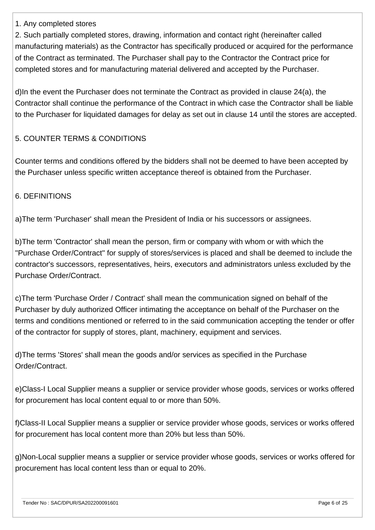#### 1. Any completed stores

2. Such partially completed stores, drawing, information and contact right (hereinafter called manufacturing materials) as the Contractor has specifically produced or acquired for the performance of the Contract as terminated. The Purchaser shall pay to the Contractor the Contract price for completed stores and for manufacturing material delivered and accepted by the Purchaser.

d)In the event the Purchaser does not terminate the Contract as provided in clause 24(a), the Contractor shall continue the performance of the Contract in which case the Contractor shall be liable to the Purchaser for liquidated damages for delay as set out in clause 14 until the stores are accepted.

#### 5. COUNTER TERMS & CONDITIONS

Counter terms and conditions offered by the bidders shall not be deemed to have been accepted by the Purchaser unless specific written acceptance thereof is obtained from the Purchaser.

#### 6. DEFINITIONS

a)The term 'Purchaser' shall mean the President of India or his successors or assignees.

b)The term 'Contractor' shall mean the person, firm or company with whom or with which the ''Purchase Order/Contract'' for supply of stores/services is placed and shall be deemed to include the contractor's successors, representatives, heirs, executors and administrators unless excluded by the Purchase Order/Contract.

c)The term 'Purchase Order / Contract' shall mean the communication signed on behalf of the Purchaser by duly authorized Officer intimating the acceptance on behalf of the Purchaser on the terms and conditions mentioned or referred to in the said communication accepting the tender or offer of the contractor for supply of stores, plant, machinery, equipment and services.

d)The terms 'Stores' shall mean the goods and/or services as specified in the Purchase Order/Contract.

e)Class-I Local Supplier means a supplier or service provider whose goods, services or works offered for procurement has local content equal to or more than 50%.

f)Class-II Local Supplier means a supplier or service provider whose goods, services or works offered for procurement has local content more than 20% but less than 50%.

g)Non-Local supplier means a supplier or service provider whose goods, services or works offered for procurement has local content less than or equal to 20%.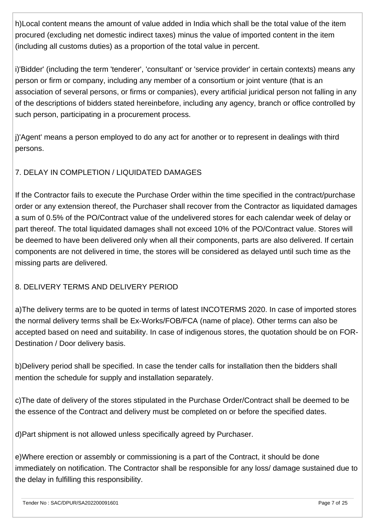h)Local content means the amount of value added in India which shall be the total value of the item procured (excluding net domestic indirect taxes) minus the value of imported content in the item (including all customs duties) as a proportion of the total value in percent.

i)'Bidder' (including the term 'tenderer', 'consultant' or 'service provider' in certain contexts) means any person or firm or company, including any member of a consortium or joint venture (that is an association of several persons, or firms or companies), every artificial juridical person not falling in any of the descriptions of bidders stated hereinbefore, including any agency, branch or office controlled by such person, participating in a procurement process.

j)'Agent' means a person employed to do any act for another or to represent in dealings with third persons.

## 7. DELAY IN COMPLETION / LIQUIDATED DAMAGES

If the Contractor fails to execute the Purchase Order within the time specified in the contract/purchase order or any extension thereof, the Purchaser shall recover from the Contractor as liquidated damages a sum of 0.5% of the PO/Contract value of the undelivered stores for each calendar week of delay or part thereof. The total liquidated damages shall not exceed 10% of the PO/Contract value. Stores will be deemed to have been delivered only when all their components, parts are also delivered. If certain components are not delivered in time, the stores will be considered as delayed until such time as the missing parts are delivered.

#### 8. DELIVERY TERMS AND DELIVERY PERIOD

a)The delivery terms are to be quoted in terms of latest INCOTERMS 2020. In case of imported stores the normal delivery terms shall be Ex-Works/FOB/FCA (name of place). Other terms can also be accepted based on need and suitability. In case of indigenous stores, the quotation should be on FOR-Destination / Door delivery basis.

b)Delivery period shall be specified. In case the tender calls for installation then the bidders shall mention the schedule for supply and installation separately.

c)The date of delivery of the stores stipulated in the Purchase Order/Contract shall be deemed to be the essence of the Contract and delivery must be completed on or before the specified dates.

d)Part shipment is not allowed unless specifically agreed by Purchaser.

e)Where erection or assembly or commissioning is a part of the Contract, it should be done immediately on notification. The Contractor shall be responsible for any loss/ damage sustained due to the delay in fulfilling this responsibility.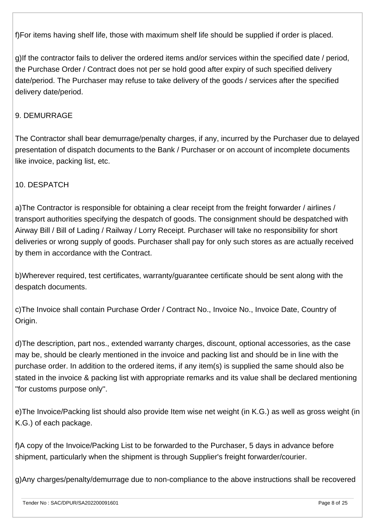f)For items having shelf life, those with maximum shelf life should be supplied if order is placed.

g)If the contractor fails to deliver the ordered items and/or services within the specified date / period, the Purchase Order / Contract does not per se hold good after expiry of such specified delivery date/period. The Purchaser may refuse to take delivery of the goods / services after the specified delivery date/period.

#### 9. DEMURRAGE

The Contractor shall bear demurrage/penalty charges, if any, incurred by the Purchaser due to delayed presentation of dispatch documents to the Bank / Purchaser or on account of incomplete documents like invoice, packing list, etc.

#### 10. DESPATCH

a)The Contractor is responsible for obtaining a clear receipt from the freight forwarder / airlines / transport authorities specifying the despatch of goods. The consignment should be despatched with Airway Bill / Bill of Lading / Railway / Lorry Receipt. Purchaser will take no responsibility for short deliveries or wrong supply of goods. Purchaser shall pay for only such stores as are actually received by them in accordance with the Contract.

b)Wherever required, test certificates, warranty/guarantee certificate should be sent along with the despatch documents.

c)The Invoice shall contain Purchase Order / Contract No., Invoice No., Invoice Date, Country of Origin.

d)The description, part nos., extended warranty charges, discount, optional accessories, as the case may be, should be clearly mentioned in the invoice and packing list and should be in line with the purchase order. In addition to the ordered items, if any item(s) is supplied the same should also be stated in the invoice & packing list with appropriate remarks and its value shall be declared mentioning ''for customs purpose only''.

e)The Invoice/Packing list should also provide Item wise net weight (in K.G.) as well as gross weight (in K.G.) of each package.

f)A copy of the Invoice/Packing List to be forwarded to the Purchaser, 5 days in advance before shipment, particularly when the shipment is through Supplier's freight forwarder/courier.

g)Any charges/penalty/demurrage due to non-compliance to the above instructions shall be recovered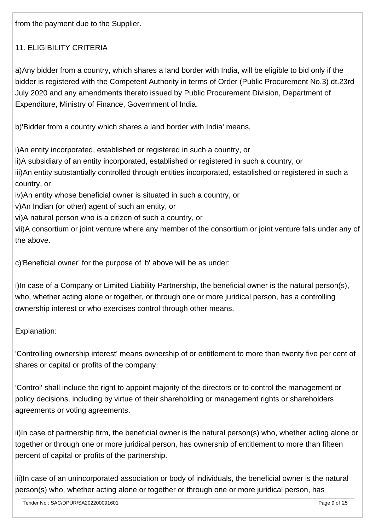from the payment due to the Supplier.

## 11. ELIGIBILITY CRITERIA

a)Any bidder from a country, which shares a land border with India, will be eligible to bid only if the bidder is registered with the Competent Authority in terms of Order (Public Procurement No.3) dt.23rd July 2020 and any amendments thereto issued by Public Procurement Division, Department of Expenditure, Ministry of Finance, Government of India.

b)'Bidder from a country which shares a land border with India' means,

i)An entity incorporated, established or registered in such a country, or ii)A subsidiary of an entity incorporated, established or registered in such a country, or iii)An entity substantially controlled through entities incorporated, established or registered in such a country, or iv)An entity whose beneficial owner is situated in such a country, or v)An Indian (or other) agent of such an entity, or vi)A natural person who is a citizen of such a country, or vii)A consortium or joint venture where any member of the consortium or joint venture falls under any of the above.

c)'Beneficial owner' for the purpose of 'b' above will be as under:

i)In case of a Company or Limited Liability Partnership, the beneficial owner is the natural person(s), who, whether acting alone or together, or through one or more juridical person, has a controlling ownership interest or who exercises control through other means.

Explanation:

'Controlling ownership interest' means ownership of or entitlement to more than twenty five per cent of shares or capital or profits of the company.

'Control' shall include the right to appoint majority of the directors or to control the management or policy decisions, including by virtue of their shareholding or management rights or shareholders agreements or voting agreements.

ii)In case of partnership firm, the beneficial owner is the natural person(s) who, whether acting alone or together or through one or more juridical person, has ownership of entitlement to more than fifteen percent of capital or profits of the partnership.

iii)In case of an unincorporated association or body of individuals, the beneficial owner is the natural person(s) who, whether acting alone or together or through one or more juridical person, has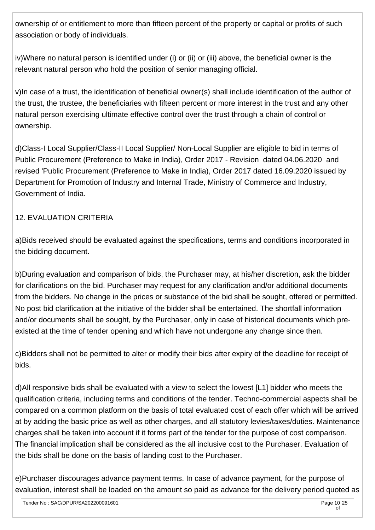ownership of or entitlement to more than fifteen percent of the property or capital or profits of such association or body of individuals.

iv)Where no natural person is identified under (i) or (ii) or (iii) above, the beneficial owner is the relevant natural person who hold the position of senior managing official.

v)In case of a trust, the identification of beneficial owner(s) shall include identification of the author of the trust, the trustee, the beneficiaries with fifteen percent or more interest in the trust and any other natural person exercising ultimate effective control over the trust through a chain of control or ownership.

d)Class-I Local Supplier/Class-II Local Supplier/ Non-Local Supplier are eligible to bid in terms of Public Procurement (Preference to Make in India), Order 2017 - Revision dated 04.06.2020 and revised 'Public Procurement (Preference to Make in India), Order 2017 dated 16.09.2020 issued by Department for Promotion of Industry and Internal Trade, Ministry of Commerce and Industry, Government of India.

## 12. EVALUATION CRITERIA

a)Bids received should be evaluated against the specifications, terms and conditions incorporated in the bidding document.

b)During evaluation and comparison of bids, the Purchaser may, at his/her discretion, ask the bidder for clarifications on the bid. Purchaser may request for any clarification and/or additional documents from the bidders. No change in the prices or substance of the bid shall be sought, offered or permitted. No post bid clarification at the initiative of the bidder shall be entertained. The shortfall information and/or documents shall be sought, by the Purchaser, only in case of historical documents which preexisted at the time of tender opening and which have not undergone any change since then.

c)Bidders shall not be permitted to alter or modify their bids after expiry of the deadline for receipt of bids.

d)All responsive bids shall be evaluated with a view to select the lowest [L1] bidder who meets the qualification criteria, including terms and conditions of the tender. Techno-commercial aspects shall be compared on a common platform on the basis of total evaluated cost of each offer which will be arrived at by adding the basic price as well as other charges, and all statutory levies/taxes/duties. Maintenance charges shall be taken into account if it forms part of the tender for the purpose of cost comparison. The financial implication shall be considered as the all inclusive cost to the Purchaser. Evaluation of the bids shall be done on the basis of landing cost to the Purchaser.

e)Purchaser discourages advance payment terms. In case of advance payment, for the purpose of evaluation, interest shall be loaded on the amount so paid as advance for the delivery period quoted as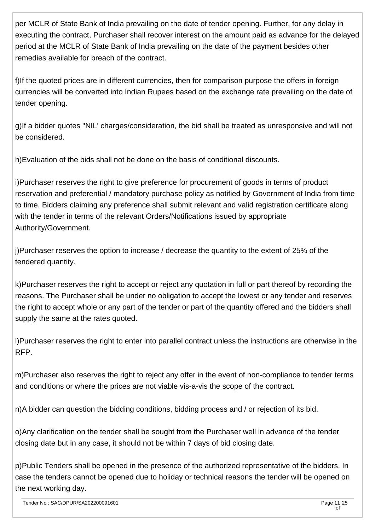per MCLR of State Bank of India prevailing on the date of tender opening. Further, for any delay in executing the contract, Purchaser shall recover interest on the amount paid as advance for the delayed period at the MCLR of State Bank of India prevailing on the date of the payment besides other remedies available for breach of the contract.

f)If the quoted prices are in different currencies, then for comparison purpose the offers in foreign currencies will be converted into Indian Rupees based on the exchange rate prevailing on the date of tender opening.

g)If a bidder quotes ''NIL' charges/consideration, the bid shall be treated as unresponsive and will not be considered.

h)Evaluation of the bids shall not be done on the basis of conditional discounts.

i)Purchaser reserves the right to give preference for procurement of goods in terms of product reservation and preferential / mandatory purchase policy as notified by Government of India from time to time. Bidders claiming any preference shall submit relevant and valid registration certificate along with the tender in terms of the relevant Orders/Notifications issued by appropriate Authority/Government.

j)Purchaser reserves the option to increase / decrease the quantity to the extent of 25% of the tendered quantity.

k)Purchaser reserves the right to accept or reject any quotation in full or part thereof by recording the reasons. The Purchaser shall be under no obligation to accept the lowest or any tender and reserves the right to accept whole or any part of the tender or part of the quantity offered and the bidders shall supply the same at the rates quoted.

l)Purchaser reserves the right to enter into parallel contract unless the instructions are otherwise in the RFP.

m)Purchaser also reserves the right to reject any offer in the event of non-compliance to tender terms and conditions or where the prices are not viable vis-a-vis the scope of the contract.

n)A bidder can question the bidding conditions, bidding process and / or rejection of its bid.

o)Any clarification on the tender shall be sought from the Purchaser well in advance of the tender closing date but in any case, it should not be within 7 days of bid closing date.

p)Public Tenders shall be opened in the presence of the authorized representative of the bidders. In case the tenders cannot be opened due to holiday or technical reasons the tender will be opened on the next working day.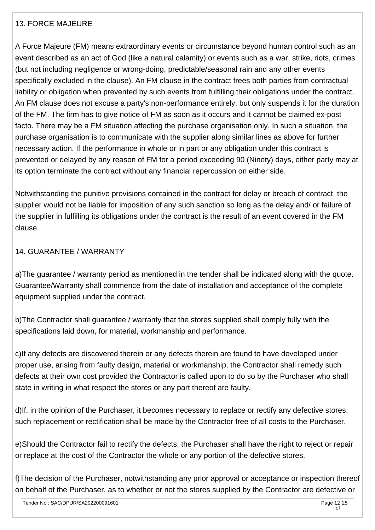#### 13. FORCE MAJEURE

A Force Majeure (FM) means extraordinary events or circumstance beyond human control such as an event described as an act of God (like a natural calamity) or events such as a war, strike, riots, crimes (but not including negligence or wrong-doing, predictable/seasonal rain and any other events specifically excluded in the clause). An FM clause in the contract frees both parties from contractual liability or obligation when prevented by such events from fulfilling their obligations under the contract. An FM clause does not excuse a party's non-performance entirely, but only suspends it for the duration of the FM. The firm has to give notice of FM as soon as it occurs and it cannot be claimed ex-post facto. There may be a FM situation affecting the purchase organisation only. In such a situation, the purchase organisation is to communicate with the supplier along similar lines as above for further necessary action. If the performance in whole or in part or any obligation under this contract is prevented or delayed by any reason of FM for a period exceeding 90 (Ninety) days, either party may at its option terminate the contract without any financial repercussion on either side.

Notwithstanding the punitive provisions contained in the contract for delay or breach of contract, the supplier would not be liable for imposition of any such sanction so long as the delay and/ or failure of the supplier in fulfilling its obligations under the contract is the result of an event covered in the FM clause.

#### 14. GUARANTEE / WARRANTY

a)The guarantee / warranty period as mentioned in the tender shall be indicated along with the quote. Guarantee/Warranty shall commence from the date of installation and acceptance of the complete equipment supplied under the contract.

b)The Contractor shall guarantee / warranty that the stores supplied shall comply fully with the specifications laid down, for material, workmanship and performance.

c)If any defects are discovered therein or any defects therein are found to have developed under proper use, arising from faulty design, material or workmanship, the Contractor shall remedy such defects at their own cost provided the Contractor is called upon to do so by the Purchaser who shall state in writing in what respect the stores or any part thereof are faulty.

d)If, in the opinion of the Purchaser, it becomes necessary to replace or rectify any defective stores, such replacement or rectification shall be made by the Contractor free of all costs to the Purchaser.

e)Should the Contractor fail to rectify the defects, the Purchaser shall have the right to reject or repair or replace at the cost of the Contractor the whole or any portion of the defective stores.

f)The decision of the Purchaser, notwithstanding any prior approval or acceptance or inspection thereof on behalf of the Purchaser, as to whether or not the stores supplied by the Contractor are defective or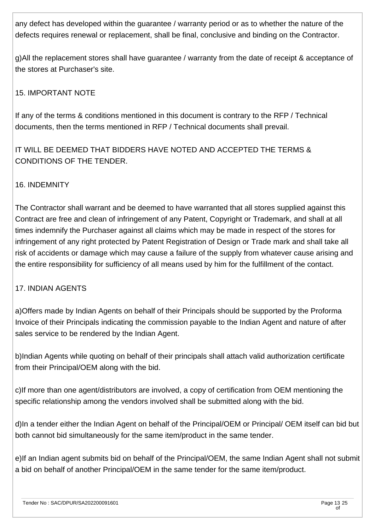any defect has developed within the guarantee / warranty period or as to whether the nature of the defects requires renewal or replacement, shall be final, conclusive and binding on the Contractor.

g)All the replacement stores shall have guarantee / warranty from the date of receipt & acceptance of the stores at Purchaser's site.

## 15. IMPORTANT NOTE

If any of the terms & conditions mentioned in this document is contrary to the RFP / Technical documents, then the terms mentioned in RFP / Technical documents shall prevail.

IT WILL BE DEEMED THAT BIDDERS HAVE NOTED AND ACCEPTED THE TERMS & CONDITIONS OF THE TENDER.

#### 16. INDEMNITY

The Contractor shall warrant and be deemed to have warranted that all stores supplied against this Contract are free and clean of infringement of any Patent, Copyright or Trademark, and shall at all times indemnify the Purchaser against all claims which may be made in respect of the stores for infringement of any right protected by Patent Registration of Design or Trade mark and shall take all risk of accidents or damage which may cause a failure of the supply from whatever cause arising and the entire responsibility for sufficiency of all means used by him for the fulfillment of the contact.

#### 17. INDIAN AGENTS

a)Offers made by Indian Agents on behalf of their Principals should be supported by the Proforma Invoice of their Principals indicating the commission payable to the Indian Agent and nature of after sales service to be rendered by the Indian Agent.

b)Indian Agents while quoting on behalf of their principals shall attach valid authorization certificate from their Principal/OEM along with the bid.

c)If more than one agent/distributors are involved, a copy of certification from OEM mentioning the specific relationship among the vendors involved shall be submitted along with the bid.

d)In a tender either the Indian Agent on behalf of the Principal/OEM or Principal/ OEM itself can bid but both cannot bid simultaneously for the same item/product in the same tender.

e)If an Indian agent submits bid on behalf of the Principal/OEM, the same Indian Agent shall not submit a bid on behalf of another Principal/OEM in the same tender for the same item/product.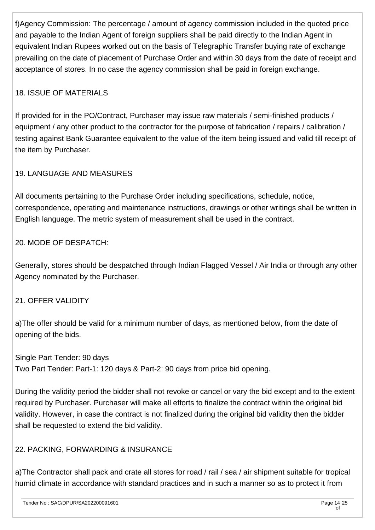f)Agency Commission: The percentage / amount of agency commission included in the quoted price and payable to the Indian Agent of foreign suppliers shall be paid directly to the Indian Agent in equivalent Indian Rupees worked out on the basis of Telegraphic Transfer buying rate of exchange prevailing on the date of placement of Purchase Order and within 30 days from the date of receipt and acceptance of stores. In no case the agency commission shall be paid in foreign exchange.

## 18. ISSUE OF MATERIALS

If provided for in the PO/Contract, Purchaser may issue raw materials / semi-finished products / equipment / any other product to the contractor for the purpose of fabrication / repairs / calibration / testing against Bank Guarantee equivalent to the value of the item being issued and valid till receipt of the item by Purchaser.

## 19. LANGUAGE AND MEASURES

All documents pertaining to the Purchase Order including specifications, schedule, notice, correspondence, operating and maintenance instructions, drawings or other writings shall be written in English language. The metric system of measurement shall be used in the contract.

## 20. MODE OF DESPATCH:

Generally, stores should be despatched through Indian Flagged Vessel / Air India or through any other Agency nominated by the Purchaser.

#### 21. OFFER VALIDITY

a)The offer should be valid for a minimum number of days, as mentioned below, from the date of opening of the bids.

Single Part Tender: 90 days Two Part Tender: Part-1: 120 days & Part-2: 90 days from price bid opening.

During the validity period the bidder shall not revoke or cancel or vary the bid except and to the extent required by Purchaser. Purchaser will make all efforts to finalize the contract within the original bid validity. However, in case the contract is not finalized during the original bid validity then the bidder shall be requested to extend the bid validity.

## 22. PACKING, FORWARDING & INSURANCE

a)The Contractor shall pack and crate all stores for road / rail / sea / air shipment suitable for tropical humid climate in accordance with standard practices and in such a manner so as to protect it from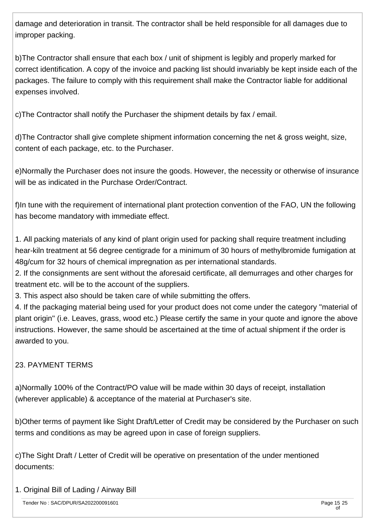damage and deterioration in transit. The contractor shall be held responsible for all damages due to improper packing.

b)The Contractor shall ensure that each box / unit of shipment is legibly and properly marked for correct identification. A copy of the invoice and packing list should invariably be kept inside each of the packages. The failure to comply with this requirement shall make the Contractor liable for additional expenses involved.

c)The Contractor shall notify the Purchaser the shipment details by fax / email.

d)The Contractor shall give complete shipment information concerning the net & gross weight, size, content of each package, etc. to the Purchaser.

e)Normally the Purchaser does not insure the goods. However, the necessity or otherwise of insurance will be as indicated in the Purchase Order/Contract.

f)In tune with the requirement of international plant protection convention of the FAO, UN the following has become mandatory with immediate effect.

1. All packing materials of any kind of plant origin used for packing shall require treatment including hear-kiln treatment at 56 degree centigrade for a minimum of 30 hours of methylbromide fumigation at 48g/cum for 32 hours of chemical impregnation as per international standards.

2. If the consignments are sent without the aforesaid certificate, all demurrages and other charges for treatment etc. will be to the account of the suppliers.

3. This aspect also should be taken care of while submitting the offers.

4. If the packaging material being used for your product does not come under the category ''material of plant origin'' (i.e. Leaves, grass, wood etc.) Please certify the same in your quote and ignore the above instructions. However, the same should be ascertained at the time of actual shipment if the order is awarded to you.

## 23. PAYMENT TERMS

a)Normally 100% of the Contract/PO value will be made within 30 days of receipt, installation (wherever applicable) & acceptance of the material at Purchaser's site.

b)Other terms of payment like Sight Draft/Letter of Credit may be considered by the Purchaser on such terms and conditions as may be agreed upon in case of foreign suppliers.

c)The Sight Draft / Letter of Credit will be operative on presentation of the under mentioned documents:

## 1. Original Bill of Lading / Airway Bill

Tender No : SAC/DPUR/SA202200091601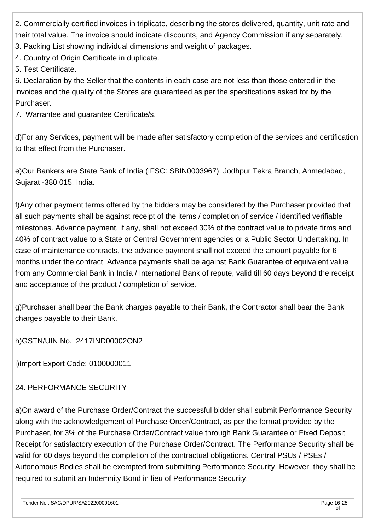2. Commercially certified invoices in triplicate, describing the stores delivered, quantity, unit rate and their total value. The invoice should indicate discounts, and Agency Commission if any separately.

3. Packing List showing individual dimensions and weight of packages.

4. Country of Origin Certificate in duplicate.

5. Test Certificate.

6. Declaration by the Seller that the contents in each case are not less than those entered in the invoices and the quality of the Stores are guaranteed as per the specifications asked for by the Purchaser.

7. Warrantee and guarantee Certificate/s.

d)For any Services, payment will be made after satisfactory completion of the services and certification to that effect from the Purchaser.

e)Our Bankers are State Bank of India (IFSC: SBIN0003967), Jodhpur Tekra Branch, Ahmedabad, Gujarat -380 015, India.

f)Any other payment terms offered by the bidders may be considered by the Purchaser provided that all such payments shall be against receipt of the items / completion of service / identified verifiable milestones. Advance payment, if any, shall not exceed 30% of the contract value to private firms and 40% of contract value to a State or Central Government agencies or a Public Sector Undertaking. In case of maintenance contracts, the advance payment shall not exceed the amount payable for 6 months under the contract. Advance payments shall be against Bank Guarantee of equivalent value from any Commercial Bank in India / International Bank of repute, valid till 60 days beyond the receipt and acceptance of the product / completion of service.

g)Purchaser shall bear the Bank charges payable to their Bank, the Contractor shall bear the Bank charges payable to their Bank.

h)GSTN/UIN No.: 2417IND00002ON2

i)Import Export Code: 0100000011

## 24. PERFORMANCE SECURITY

a)On award of the Purchase Order/Contract the successful bidder shall submit Performance Security along with the acknowledgement of Purchase Order/Contract, as per the format provided by the Purchaser, for 3% of the Purchase Order/Contract value through Bank Guarantee or Fixed Deposit Receipt for satisfactory execution of the Purchase Order/Contract. The Performance Security shall be valid for 60 days beyond the completion of the contractual obligations. Central PSUs / PSEs / Autonomous Bodies shall be exempted from submitting Performance Security. However, they shall be required to submit an Indemnity Bond in lieu of Performance Security.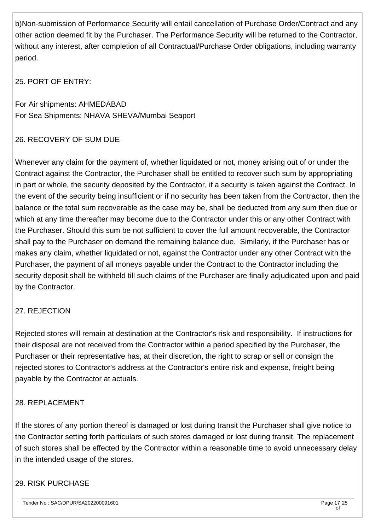b)Non-submission of Performance Security will entail cancellation of Purchase Order/Contract and any other action deemed fit by the Purchaser. The Performance Security will be returned to the Contractor, without any interest, after completion of all Contractual/Purchase Order obligations, including warranty period.

25. PORT OF ENTRY:

For Air shipments: AHMEDABAD For Sea Shipments: NHAVA SHEVA/Mumbai Seaport

## 26. RECOVERY OF SUM DUE

Whenever any claim for the payment of, whether liquidated or not, money arising out of or under the Contract against the Contractor, the Purchaser shall be entitled to recover such sum by appropriating in part or whole, the security deposited by the Contractor, if a security is taken against the Contract. In the event of the security being insufficient or if no security has been taken from the Contractor, then the balance or the total sum recoverable as the case may be, shall be deducted from any sum then due or which at any time thereafter may become due to the Contractor under this or any other Contract with the Purchaser. Should this sum be not sufficient to cover the full amount recoverable, the Contractor shall pay to the Purchaser on demand the remaining balance due. Similarly, if the Purchaser has or makes any claim, whether liquidated or not, against the Contractor under any other Contract with the Purchaser, the payment of all moneys payable under the Contract to the Contractor including the security deposit shall be withheld till such claims of the Purchaser are finally adjudicated upon and paid by the Contractor.

#### 27. REJECTION

Rejected stores will remain at destination at the Contractor's risk and responsibility. If instructions for their disposal are not received from the Contractor within a period specified by the Purchaser, the Purchaser or their representative has, at their discretion, the right to scrap or sell or consign the rejected stores to Contractor's address at the Contractor's entire risk and expense, freight being payable by the Contractor at actuals.

#### 28. REPLACEMENT

If the stores of any portion thereof is damaged or lost during transit the Purchaser shall give notice to the Contractor setting forth particulars of such stores damaged or lost during transit. The replacement of such stores shall be effected by the Contractor within a reasonable time to avoid unnecessary delay in the intended usage of the stores.

#### 29. RISK PURCHASE

Tender No : SAC/DPUR/SA202200091601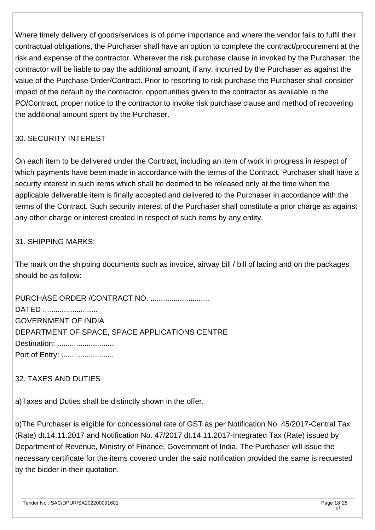Where timely delivery of goods/services is of prime importance and where the vendor fails to fulfil their contractual obligations, the Purchaser shall have an option to complete the contract/procurement at the risk and expense of the contractor. Wherever the risk purchase clause in invoked by the Purchaser, the contractor will be liable to pay the additional amount, if any, incurred by the Purchaser as against the value of the Purchase Order/Contract. Prior to resorting to risk purchase the Purchaser shall consider impact of the default by the contractor, opportunities given to the contractor as available in the PO/Contract, proper notice to the contractor to invoke risk purchase clause and method of recovering the additional amount spent by the Purchaser.

#### 30. SECURITY INTEREST

On each item to be delivered under the Contract, including an item of work in progress in respect of which payments have been made in accordance with the terms of the Contract, Purchaser shall have a security interest in such items which shall be deemed to be released only at the time when the applicable deliverable item is finally accepted and delivered to the Purchaser in accordance with the terms of the Contract. Such security interest of the Purchaser shall constitute a prior charge as against any other charge or interest created in respect of such items by any entity.

#### 31. SHIPPING MARKS:

The mark on the shipping documents such as invoice, airway bill / bill of lading and on the packages should be as follow:

PURCHASE ORDER /CONTRACT NO. ............................ DATED ......................... GOVERNMENT OF INDIA DEPARTMENT OF SPACE, SPACE APPLICATIONS CENTRE Destination: ............................. Port of Entry: ...........................

#### 32. TAXES AND DUTIES

a)Taxes and Duties shall be distinctly shown in the offer.

b)The Purchaser is eligible for concessional rate of GST as per Notification No. 45/2017-Central Tax (Rate) dt.14.11.2017 and Notification No. 47/2017 dt.14.11.2017-Integrated Tax (Rate) issued by Department of Revenue, Ministry of Finance, Government of India. The Purchaser will issue the necessary certificate for the items covered under the said notification provided the same is requested by the bidder in their quotation.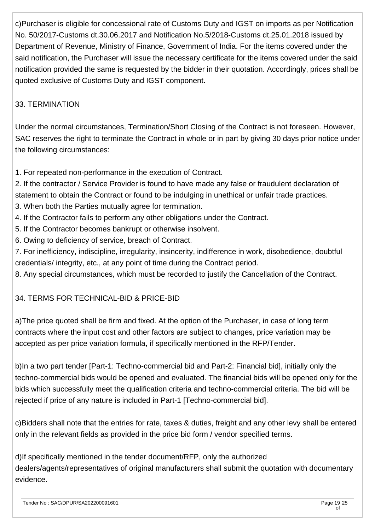c)Purchaser is eligible for concessional rate of Customs Duty and IGST on imports as per Notification No. 50/2017-Customs dt.30.06.2017 and Notification No.5/2018-Customs dt.25.01.2018 issued by Department of Revenue, Ministry of Finance, Government of India. For the items covered under the said notification, the Purchaser will issue the necessary certificate for the items covered under the said notification provided the same is requested by the bidder in their quotation. Accordingly, prices shall be quoted exclusive of Customs Duty and IGST component.

## 33. TERMINATION

Under the normal circumstances, Termination/Short Closing of the Contract is not foreseen. However, SAC reserves the right to terminate the Contract in whole or in part by giving 30 days prior notice under the following circumstances:

1. For repeated non-performance in the execution of Contract.

2. If the contractor / Service Provider is found to have made any false or fraudulent declaration of statement to obtain the Contract or found to be indulging in unethical or unfair trade practices.

- 3. When both the Parties mutually agree for termination.
- 4. If the Contractor fails to perform any other obligations under the Contract.
- 5. If the Contractor becomes bankrupt or otherwise insolvent.
- 6. Owing to deficiency of service, breach of Contract.
- 7. For inefficiency, indiscipline, irregularity, insincerity, indifference in work, disobedience, doubtful credentials/ integrity, etc., at any point of time during the Contract period.
- 8. Any special circumstances, which must be recorded to justify the Cancellation of the Contract.

## 34. TERMS FOR TECHNICAL-BID & PRICE-BID

a)The price quoted shall be firm and fixed. At the option of the Purchaser, in case of long term contracts where the input cost and other factors are subject to changes, price variation may be accepted as per price variation formula, if specifically mentioned in the RFP/Tender.

b)In a two part tender [Part-1: Techno-commercial bid and Part-2: Financial bid], initially only the techno-commercial bids would be opened and evaluated. The financial bids will be opened only for the bids which successfully meet the qualification criteria and techno-commercial criteria. The bid will be rejected if price of any nature is included in Part-1 [Techno-commercial bid].

c)Bidders shall note that the entries for rate, taxes & duties, freight and any other levy shall be entered only in the relevant fields as provided in the price bid form / vendor specified terms.

d)If specifically mentioned in the tender document/RFP, only the authorized dealers/agents/representatives of original manufacturers shall submit the quotation with documentary evidence.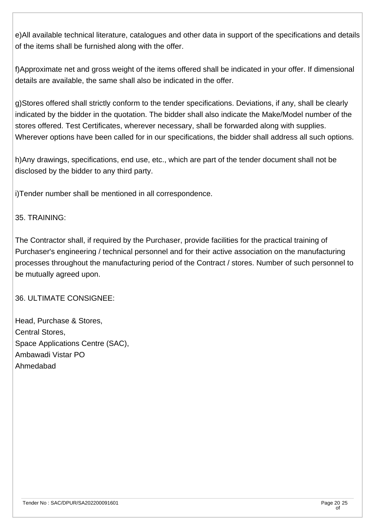e)All available technical literature, catalogues and other data in support of the specifications and details of the items shall be furnished along with the offer.

f)Approximate net and gross weight of the items offered shall be indicated in your offer. If dimensional details are available, the same shall also be indicated in the offer.

g)Stores offered shall strictly conform to the tender specifications. Deviations, if any, shall be clearly indicated by the bidder in the quotation. The bidder shall also indicate the Make/Model number of the stores offered. Test Certificates, wherever necessary, shall be forwarded along with supplies. Wherever options have been called for in our specifications, the bidder shall address all such options.

h)Any drawings, specifications, end use, etc., which are part of the tender document shall not be disclosed by the bidder to any third party.

i)Tender number shall be mentioned in all correspondence.

#### 35. TRAINING:

The Contractor shall, if required by the Purchaser, provide facilities for the practical training of Purchaser's engineering / technical personnel and for their active association on the manufacturing processes throughout the manufacturing period of the Contract / stores. Number of such personnel to be mutually agreed upon.

36. ULTIMATE CONSIGNEE:

Head, Purchase & Stores, Central Stores, Space Applications Centre (SAC), Ambawadi Vistar PO Ahmedabad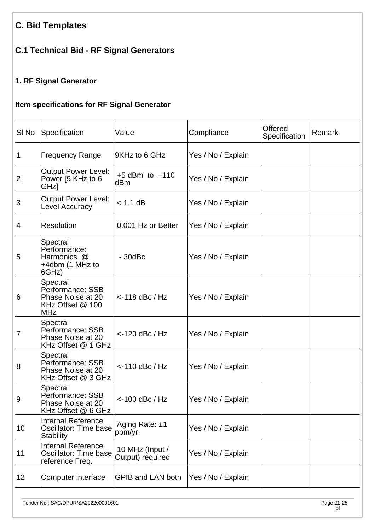# **C. Bid Templates**

# **C.1 Technical Bid - RF Signal Generators**

## **1. RF Signal Generator**

## **Item specifications for RF Signal Generator**

| SI <sub>No</sub> | Specification                                                                       | Value                               | Compliance         | Offered<br>Specification | Remark |
|------------------|-------------------------------------------------------------------------------------|-------------------------------------|--------------------|--------------------------|--------|
| $\mathbf 1$      | <b>Frequency Range</b>                                                              | 9KHz to 6 GHz                       | Yes / No / Explain |                          |        |
| $ 2\rangle$      | <b>Output Power Level:</b><br>Power [9 KHz to 6<br>GHz]                             | $+5$ dBm to $-110$<br>dBm           | Yes / No / Explain |                          |        |
| $\overline{3}$   | <b>Output Power Level:</b><br>Level Accuracy                                        | $< 1.1$ dB                          | Yes / No / Explain |                          |        |
| $\overline{4}$   | <b>Resolution</b>                                                                   | 0.001 Hz or Better                  | Yes / No / Explain |                          |        |
| 5                | Spectral<br>Performance:<br>Harmonics @<br>+4dbm (1 MHz to<br>6GHz)                 | $-30$ d $Bc$                        | Yes / No / Explain |                          |        |
| 6                | Spectral<br>Performance: SSB<br>Phase Noise at 20<br>KHz Offset @ 100<br><b>MHz</b> | $<$ -118 dBc / Hz                   | Yes / No / Explain |                          |        |
| 7                | Spectral<br>Performance: SSB<br>Phase Noise at 20<br>KHz Offset @ 1 GHz             | $<$ -120 dBc / Hz                   | Yes / No / Explain |                          |        |
| $\overline{8}$   | Spectral<br>Performance: SSB<br>Phase Noise at 20<br>KHz Offset @ 3 GHz             | $<$ -110 dBc / Hz                   | Yes / No / Explain |                          |        |
| 9                | Spectral<br>Performance: SSB<br>Phase Noise at 20<br>KHz Offset @ 6 GHz             | $<$ -100 dBc / Hz                   | Yes / No / Explain |                          |        |
| 10               | <b>Internal Reference</b><br>Oscillator: Time base<br><b>Stability</b>              | Aging Rate: $±1$<br>ppm/yr.         | Yes / No / Explain |                          |        |
| 11               | <b>Internal Reference</b><br>Oscillator: Time base<br>reference Freq.               | 10 MHz (Input /<br>Output) required | Yes / No / Explain |                          |        |
| 12               | Computer interface                                                                  | <b>GPIB and LAN both</b>            | Yes / No / Explain |                          |        |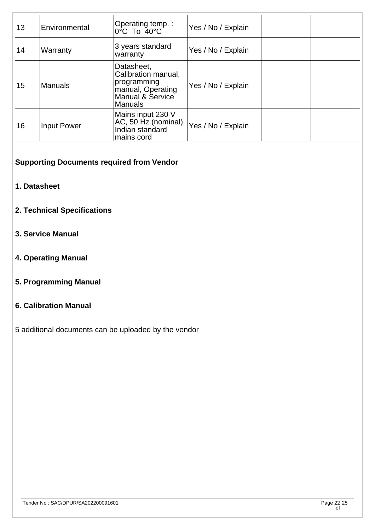| 13 | Environmental      | Operating temp.:<br>$0^{\circ}$ C To $40^{\circ}$ C                                                  | Yes / No / Explain |  |
|----|--------------------|------------------------------------------------------------------------------------------------------|--------------------|--|
| 14 | Warranty           | 3 years standard<br>warranty                                                                         | Yes / No / Explain |  |
| 15 | <b>Manuals</b>     | Datasheet,<br>Calibration manual,<br>programming<br>manual, Operating<br>Manual & Service<br>Manuals | Yes / No / Explain |  |
| 16 | <b>Input Power</b> | Mains input 230 V<br>$ AC, 50$ Hz (nominal), $ Yes / No / Explain$<br>Indian standard<br>mains cord  |                    |  |

**Supporting Documents required from Vendor**

- **1. Datasheet**
- **2. Technical Specifications**
- **3. Service Manual**
- **4. Operating Manual**
- **5. Programming Manual**

#### **6. Calibration Manual**

5 additional documents can be uploaded by the vendor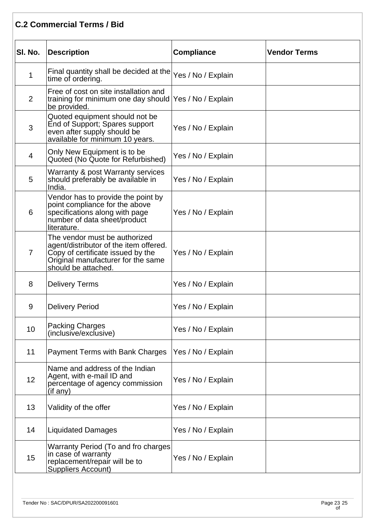## **C.2 Commercial Terms / Bid**

| SI. No.        | Description                                                                                                                                                               | <b>Compliance</b>  | <b>Vendor Terms</b> |
|----------------|---------------------------------------------------------------------------------------------------------------------------------------------------------------------------|--------------------|---------------------|
| $\mathbf 1$    | Final quantity shall be decided at the $ {\rm Yes}$ / No / Explain<br>time of ordering.                                                                                   |                    |                     |
| $\overline{2}$ | Free of cost on site installation and<br>training for minimum one day should   Yes / No / Explain<br>be provided.                                                         |                    |                     |
| 3              | Quoted equipment should not be<br>End of Support; Spares support<br>even after supply should be<br>available for minimum 10 years.                                        | Yes / No / Explain |                     |
| $\overline{4}$ | Only New Equipment is to be<br>Quoted (No Quote for Refurbished)                                                                                                          | Yes / No / Explain |                     |
| 5              | Warranty & post Warranty services<br>should preferably be available in<br>India.                                                                                          | Yes / No / Explain |                     |
| 6              | Vendor has to provide the point by<br>point compliance for the above<br>specifications along with page<br>number of data sheet/product<br>literature.                     | Yes / No / Explain |                     |
| $\overline{7}$ | The vendor must be authorized<br>agent/distributor of the item offered.<br>Copy of certificate issued by the<br>Original manufacturer for the same<br>should be attached. | Yes / No / Explain |                     |
| 8              | <b>Delivery Terms</b>                                                                                                                                                     | Yes / No / Explain |                     |
| 9              | <b>Delivery Period</b>                                                                                                                                                    | Yes / No / Explain |                     |
| 10             | <b>Packing Charges</b><br>(inclusive/exclusive)                                                                                                                           | Yes / No / Explain |                     |
| 11             | <b>Payment Terms with Bank Charges</b>                                                                                                                                    | Yes / No / Explain |                     |
| 12             | Name and address of the Indian<br>Agent, with e-mail ID and<br>percentage of agency commission<br>(if any)                                                                | Yes / No / Explain |                     |
| 13             | Validity of the offer                                                                                                                                                     | Yes / No / Explain |                     |
| 14             | <b>Liquidated Damages</b>                                                                                                                                                 | Yes / No / Explain |                     |
| 15             | Warranty Period (To and fro charges<br>in case of warranty<br>replacement/repair will be to<br>Suppliers Account)                                                         | Yes / No / Explain |                     |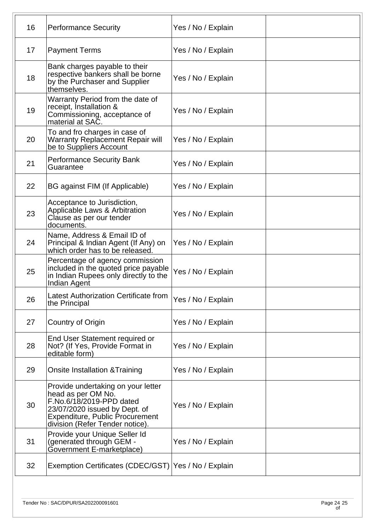| 16 | <b>Performance Security</b>                                                                                                                                                                 | Yes / No / Explain |  |
|----|---------------------------------------------------------------------------------------------------------------------------------------------------------------------------------------------|--------------------|--|
| 17 | <b>Payment Terms</b>                                                                                                                                                                        | Yes / No / Explain |  |
| 18 | Bank charges payable to their<br>respective bankers shall be borne<br>by the Purchaser and Supplier<br>themselves.                                                                          | Yes / No / Explain |  |
| 19 | Warranty Period from the date of<br>receipt, Installation &<br>Commissioning, acceptance of<br>material at SAC.                                                                             | Yes / No / Explain |  |
| 20 | To and fro charges in case of<br><b>Warranty Replacement Repair will</b><br>be to Suppliers Account                                                                                         | Yes / No / Explain |  |
| 21 | <b>Performance Security Bank</b><br>Guarantee                                                                                                                                               | Yes / No / Explain |  |
| 22 | BG against FIM (If Applicable)                                                                                                                                                              | Yes / No / Explain |  |
| 23 | Acceptance to Jurisdiction,<br>Applicable Laws & Arbitration<br>Clause as per our tender<br>documents.                                                                                      | Yes / No / Explain |  |
| 24 | Name, Address & Email ID of<br>Principal & Indian Agent (If Any) on<br>which order has to be released.                                                                                      | Yes / No / Explain |  |
| 25 | Percentage of agency commission<br>included in the quoted price payable<br>in Indian Rupees only directly to the<br>Indian Agent                                                            | Yes / No / Explain |  |
| 26 | Latest Authorization Certificate from<br>the Principal                                                                                                                                      | Yes / No / Explain |  |
| 27 | Country of Origin                                                                                                                                                                           | Yes / No / Explain |  |
| 28 | End User Statement required or<br>Not? (If Yes, Provide Format in<br>editable form)                                                                                                         | Yes / No / Explain |  |
| 29 | Onsite Installation & Training                                                                                                                                                              | Yes / No / Explain |  |
| 30 | Provide undertaking on your letter<br>head as per OM No.<br>F.No.6/18/2019-PPD dated<br>23/07/2020 issued by Dept. of<br>Expenditure, Public Procurement<br>division (Refer Tender notice). | Yes / No / Explain |  |
| 31 | Provide your Unique Seller Id<br>(generated through GEM -<br>Government E-marketplace)                                                                                                      | Yes / No / Explain |  |
| 32 | Exemption Certificates (CDEC/GST) Yes / No / Explain                                                                                                                                        |                    |  |